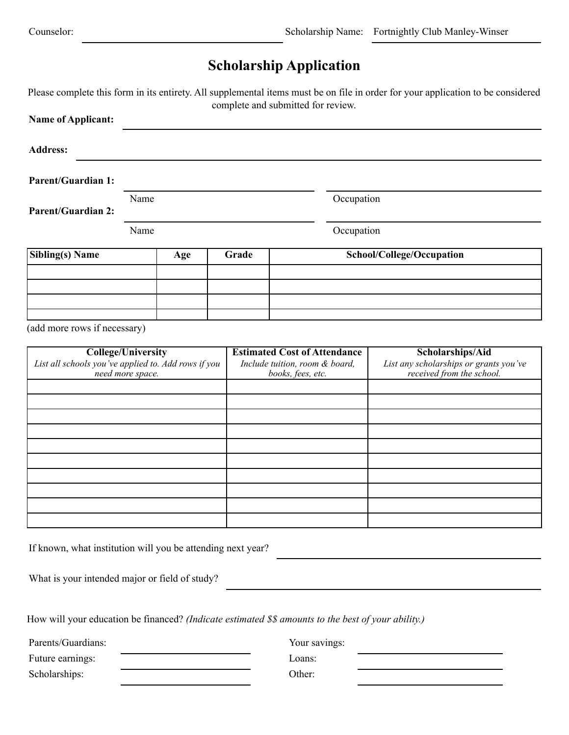## **Scholarship Application**

Please complete this form in its entirety. All supplemental items must be on file in order for your application to be considered complete and submitted for review.

| <b>Name of Applicant:</b>                                                                            |                    |                                                                                            |       |                                                                                         |                           |  |  |  |
|------------------------------------------------------------------------------------------------------|--------------------|--------------------------------------------------------------------------------------------|-------|-----------------------------------------------------------------------------------------|---------------------------|--|--|--|
| <b>Address:</b>                                                                                      |                    |                                                                                            |       |                                                                                         |                           |  |  |  |
| <b>Parent/Guardian 1:</b>                                                                            |                    |                                                                                            |       |                                                                                         |                           |  |  |  |
| <b>Parent/Guardian 2:</b>                                                                            | Occupation<br>Name |                                                                                            |       |                                                                                         |                           |  |  |  |
|                                                                                                      | Name               |                                                                                            |       | Occupation                                                                              |                           |  |  |  |
| <b>Sibling(s)</b> Name                                                                               | Age                |                                                                                            | Grade |                                                                                         | School/College/Occupation |  |  |  |
|                                                                                                      |                    |                                                                                            |       |                                                                                         |                           |  |  |  |
|                                                                                                      |                    |                                                                                            |       |                                                                                         |                           |  |  |  |
| (add more rows if necessary)                                                                         |                    |                                                                                            |       |                                                                                         |                           |  |  |  |
| <b>College/University</b><br>List all schools you've applied to. Add rows if you<br>need more space. |                    | <b>Estimated Cost of Attendance</b><br>Include tuition, room & board,<br>books, fees, etc. |       | Scholarships/Aid<br>List any scholarships or grants you've<br>received from the school. |                           |  |  |  |
|                                                                                                      |                    |                                                                                            |       |                                                                                         |                           |  |  |  |
|                                                                                                      |                    |                                                                                            |       |                                                                                         |                           |  |  |  |
|                                                                                                      |                    |                                                                                            |       |                                                                                         |                           |  |  |  |
|                                                                                                      |                    |                                                                                            |       |                                                                                         |                           |  |  |  |
|                                                                                                      |                    |                                                                                            |       |                                                                                         |                           |  |  |  |
|                                                                                                      |                    |                                                                                            |       |                                                                                         |                           |  |  |  |
|                                                                                                      |                    |                                                                                            |       |                                                                                         |                           |  |  |  |
|                                                                                                      |                    |                                                                                            |       |                                                                                         |                           |  |  |  |
|                                                                                                      |                    |                                                                                            |       |                                                                                         |                           |  |  |  |

If known, what institution will you be attending next year?

What is your intended major or field of study?

How will your education be financed? *(Indicate estimated \$\$ amounts to the best of your ability.)* 

Parents/Guardians: Your savings:

Future earnings: Loans: Loans:

Scholarships: Other: